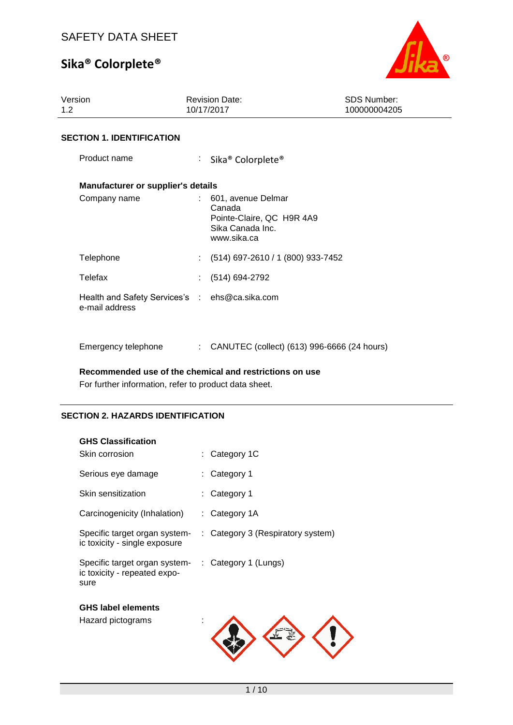

| Version<br>1.2 <sub>2</sub> |                                                                  |                           | <b>Revision Date:</b><br>10/17/2017                                                          | <b>SDS Number:</b><br>100000004205 |
|-----------------------------|------------------------------------------------------------------|---------------------------|----------------------------------------------------------------------------------------------|------------------------------------|
|                             | <b>SECTION 1. IDENTIFICATION</b>                                 |                           |                                                                                              |                                    |
|                             | Product name                                                     |                           | : Sika <sup>®</sup> Colorplete <sup>®</sup>                                                  |                                    |
|                             | <b>Manufacturer or supplier's details</b>                        |                           |                                                                                              |                                    |
|                             | Company name                                                     |                           | 601, avenue Delmar<br>Canada<br>Pointe-Claire, QC H9R 4A9<br>Sika Canada Inc.<br>www.sika.ca |                                    |
|                             | Telephone                                                        | $\mathbb{R}^{\mathbb{Z}}$ | (514) 697-2610 / 1 (800) 933-7452                                                            |                                    |
| Telefax                     |                                                                  |                           | (514) 694-2792                                                                               |                                    |
|                             | Health and Safety Services's : ehs@ca.sika.com<br>e-mail address |                           |                                                                                              |                                    |
|                             | Emergency telephone                                              | $\mathbb{R}^n$            | CANUTEC (collect) (613) 996-6666 (24 hours)                                                  |                                    |

**Recommended use of the chemical and restrictions on use**

For further information, refer to product data sheet.

### **SECTION 2. HAZARDS IDENTIFICATION**

| <b>GHS Classification</b>                                             |                                   |
|-----------------------------------------------------------------------|-----------------------------------|
| Skin corrosion                                                        | : Category 1C                     |
| Serious eye damage                                                    | Category 1                        |
| Skin sensitization                                                    | Category 1                        |
| Carcinogenicity (Inhalation)                                          | : Category $1A$                   |
| Specific target organ system-<br>ic toxicity - single exposure        | : Category 3 (Respiratory system) |
| Specific target organ system-<br>ic toxicity - repeated expo-<br>sure | : Category 1 (Lungs)              |
| <b>GHS label elements</b>                                             |                                   |
| Hazard pictograms                                                     |                                   |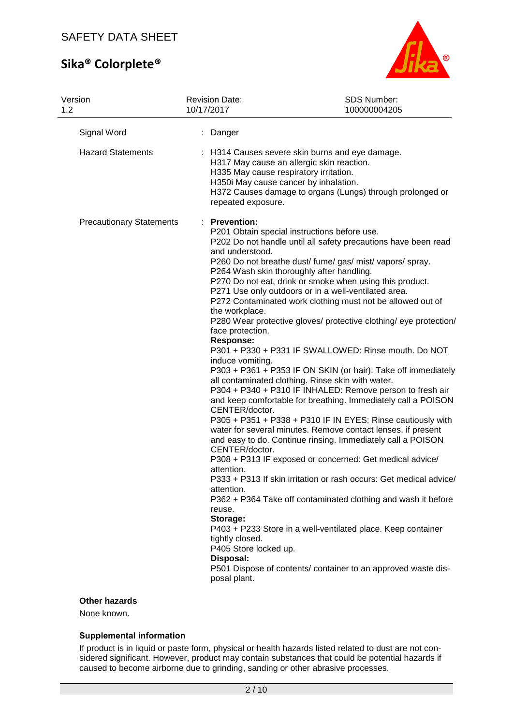

| Version<br>1.2                  | <b>Revision Date:</b><br>10/17/2017                                                                                                                                                                                                                                           | SDS Number:<br>100000004205                                                                                                                                                                                                                                                                                                                                                                                                                                                                                                                                                                                                                                                                                                                                                                                                                                                                                                                                                                                                                                                                                                                                                                                                                                                                                                   |
|---------------------------------|-------------------------------------------------------------------------------------------------------------------------------------------------------------------------------------------------------------------------------------------------------------------------------|-------------------------------------------------------------------------------------------------------------------------------------------------------------------------------------------------------------------------------------------------------------------------------------------------------------------------------------------------------------------------------------------------------------------------------------------------------------------------------------------------------------------------------------------------------------------------------------------------------------------------------------------------------------------------------------------------------------------------------------------------------------------------------------------------------------------------------------------------------------------------------------------------------------------------------------------------------------------------------------------------------------------------------------------------------------------------------------------------------------------------------------------------------------------------------------------------------------------------------------------------------------------------------------------------------------------------------|
| Signal Word                     | Danger                                                                                                                                                                                                                                                                        |                                                                                                                                                                                                                                                                                                                                                                                                                                                                                                                                                                                                                                                                                                                                                                                                                                                                                                                                                                                                                                                                                                                                                                                                                                                                                                                               |
| <b>Hazard Statements</b>        | repeated exposure.                                                                                                                                                                                                                                                            | : H314 Causes severe skin burns and eye damage.<br>H317 May cause an allergic skin reaction.<br>H335 May cause respiratory irritation.<br>H350i May cause cancer by inhalation.<br>H372 Causes damage to organs (Lungs) through prolonged or                                                                                                                                                                                                                                                                                                                                                                                                                                                                                                                                                                                                                                                                                                                                                                                                                                                                                                                                                                                                                                                                                  |
| <b>Precautionary Statements</b> | : Prevention:<br>and understood.<br>the workplace.<br>face protection.<br><b>Response:</b><br>induce vomiting.<br>CENTER/doctor.<br>CENTER/doctor.<br>attention.<br>attention.<br>reuse.<br>Storage:<br>tightly closed.<br>P405 Store locked up.<br>Disposal:<br>posal plant. | P201 Obtain special instructions before use.<br>P202 Do not handle until all safety precautions have been read<br>P260 Do not breathe dust/ fume/ gas/ mist/ vapors/ spray.<br>P264 Wash skin thoroughly after handling.<br>P270 Do not eat, drink or smoke when using this product.<br>P271 Use only outdoors or in a well-ventilated area.<br>P272 Contaminated work clothing must not be allowed out of<br>P280 Wear protective gloves/ protective clothing/ eye protection/<br>P301 + P330 + P331 IF SWALLOWED: Rinse mouth. Do NOT<br>P303 + P361 + P353 IF ON SKIN (or hair): Take off immediately<br>all contaminated clothing. Rinse skin with water.<br>P304 + P340 + P310 IF INHALED: Remove person to fresh air<br>and keep comfortable for breathing. Immediately call a POISON<br>P305 + P351 + P338 + P310 IF IN EYES: Rinse cautiously with<br>water for several minutes. Remove contact lenses, if present<br>and easy to do. Continue rinsing. Immediately call a POISON<br>P308 + P313 IF exposed or concerned: Get medical advice/<br>P333 + P313 If skin irritation or rash occurs: Get medical advice/<br>P362 + P364 Take off contaminated clothing and wash it before<br>P403 + P233 Store in a well-ventilated place. Keep container<br>P501 Dispose of contents/ container to an approved waste dis- |

## **Other hazards**

None known.

#### **Supplemental information**

If product is in liquid or paste form, physical or health hazards listed related to dust are not considered significant. However, product may contain substances that could be potential hazards if caused to become airborne due to grinding, sanding or other abrasive processes.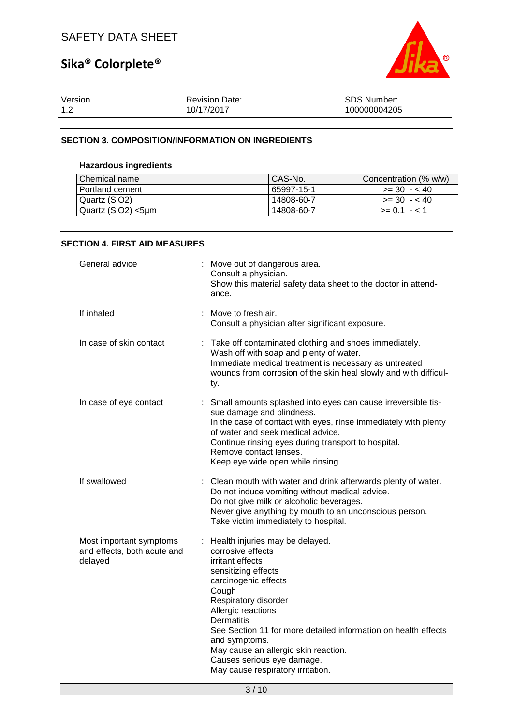

| Version | <b>Revision Date:</b> | <b>SDS Number:</b> |
|---------|-----------------------|--------------------|
| 1.2     | 10/17/2017            | 100000004205       |

### **SECTION 3. COMPOSITION/INFORMATION ON INGREDIENTS**

### **Hazardous ingredients**

| Chemical name      | CAS-No.    | Concentration (% w/w) |
|--------------------|------------|-----------------------|
| Portland cement    | 65997-15-1 | $>=$ 30 $-$ < 40      |
| Quartz (SiO2)      | 14808-60-7 | $>= 30 - 40$          |
| Quartz (SiO2) <5µm | 14808-60-7 | $>= 0.1 - 1.1$        |

### **SECTION 4. FIRST AID MEASURES**

| General advice                                                    |     | Move out of dangerous area.<br>Consult a physician.<br>Show this material safety data sheet to the doctor in attend-<br>ance.                                                                                                                                                                                                                                                                       |
|-------------------------------------------------------------------|-----|-----------------------------------------------------------------------------------------------------------------------------------------------------------------------------------------------------------------------------------------------------------------------------------------------------------------------------------------------------------------------------------------------------|
| If inhaled                                                        |     | : Move to fresh air.<br>Consult a physician after significant exposure.                                                                                                                                                                                                                                                                                                                             |
| In case of skin contact                                           | ty. | : Take off contaminated clothing and shoes immediately.<br>Wash off with soap and plenty of water.<br>Immediate medical treatment is necessary as untreated<br>wounds from corrosion of the skin heal slowly and with difficul-                                                                                                                                                                     |
| In case of eye contact                                            | ÷.  | Small amounts splashed into eyes can cause irreversible tis-<br>sue damage and blindness.<br>In the case of contact with eyes, rinse immediately with plenty<br>of water and seek medical advice.<br>Continue rinsing eyes during transport to hospital.<br>Remove contact lenses.<br>Keep eye wide open while rinsing.                                                                             |
| If swallowed                                                      |     | : Clean mouth with water and drink afterwards plenty of water.<br>Do not induce vomiting without medical advice.<br>Do not give milk or alcoholic beverages.<br>Never give anything by mouth to an unconscious person.<br>Take victim immediately to hospital.                                                                                                                                      |
| Most important symptoms<br>and effects, both acute and<br>delayed |     | : Health injuries may be delayed.<br>corrosive effects<br>irritant effects<br>sensitizing effects<br>carcinogenic effects<br>Cough<br>Respiratory disorder<br>Allergic reactions<br><b>Dermatitis</b><br>See Section 11 for more detailed information on health effects<br>and symptoms.<br>May cause an allergic skin reaction.<br>Causes serious eye damage.<br>May cause respiratory irritation. |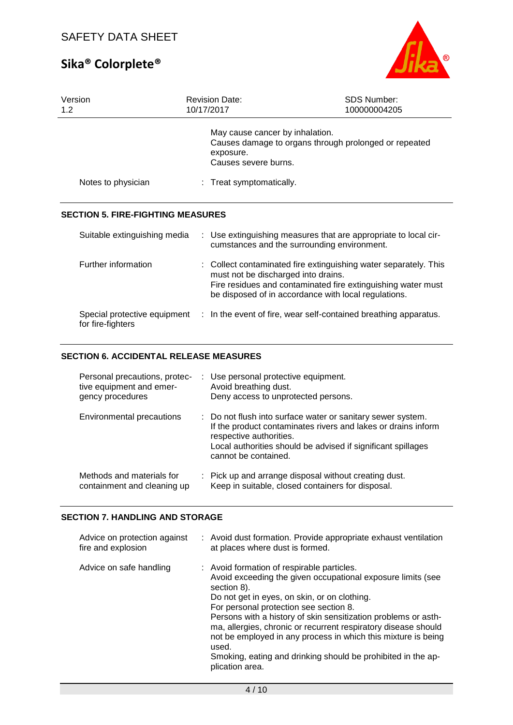

| Version<br>1.2                                    | <b>Revision Date:</b><br>10/17/2017                                  | <b>SDS Number:</b><br>100000004205                                                                                                                                                       |
|---------------------------------------------------|----------------------------------------------------------------------|------------------------------------------------------------------------------------------------------------------------------------------------------------------------------------------|
|                                                   | May cause cancer by inhalation.<br>exposure.<br>Causes severe burns. | Causes damage to organs through prolonged or repeated                                                                                                                                    |
| Notes to physician                                | : Treat symptomatically.                                             |                                                                                                                                                                                          |
| <b>SECTION 5. FIRE-FIGHTING MEASURES</b>          |                                                                      |                                                                                                                                                                                          |
| Suitable extinguishing media                      |                                                                      | : Use extinguishing measures that are appropriate to local cir-<br>cumstances and the surrounding environment.                                                                           |
| Further information                               | must not be discharged into drains.                                  | : Collect contaminated fire extinguishing water separately. This<br>Fire residues and contaminated fire extinguishing water must<br>be disposed of in accordance with local regulations. |
| Special protective equipment<br>for fire-fighters |                                                                      | : In the event of fire, wear self-contained breathing apparatus.                                                                                                                         |

## **SECTION 6. ACCIDENTAL RELEASE MEASURES**

| Personal precautions, protec-<br>tive equipment and emer-<br>gency procedures | : Use personal protective equipment.<br>Avoid breathing dust.<br>Deny access to unprotected persons.                                                                                                                                            |
|-------------------------------------------------------------------------------|-------------------------------------------------------------------------------------------------------------------------------------------------------------------------------------------------------------------------------------------------|
| Environmental precautions                                                     | : Do not flush into surface water or sanitary sewer system.<br>If the product contaminates rivers and lakes or drains inform<br>respective authorities.<br>Local authorities should be advised if significant spillages<br>cannot be contained. |
| Methods and materials for<br>containment and cleaning up                      | : Pick up and arrange disposal without creating dust.<br>Keep in suitable, closed containers for disposal.                                                                                                                                      |

## **SECTION 7. HANDLING AND STORAGE**

| Advice on protection against<br>fire and explosion | : Avoid dust formation. Provide appropriate exhaust ventilation<br>at places where dust is formed.                                                                                                                                                                                                                                                                                                                                                                                                                  |
|----------------------------------------------------|---------------------------------------------------------------------------------------------------------------------------------------------------------------------------------------------------------------------------------------------------------------------------------------------------------------------------------------------------------------------------------------------------------------------------------------------------------------------------------------------------------------------|
| Advice on safe handling                            | : Avoid formation of respirable particles.<br>Avoid exceeding the given occupational exposure limits (see<br>section 8).<br>Do not get in eyes, on skin, or on clothing.<br>For personal protection see section 8.<br>Persons with a history of skin sensitization problems or asth-<br>ma, allergies, chronic or recurrent respiratory disease should<br>not be employed in any process in which this mixture is being<br>used.<br>Smoking, eating and drinking should be prohibited in the ap-<br>plication area. |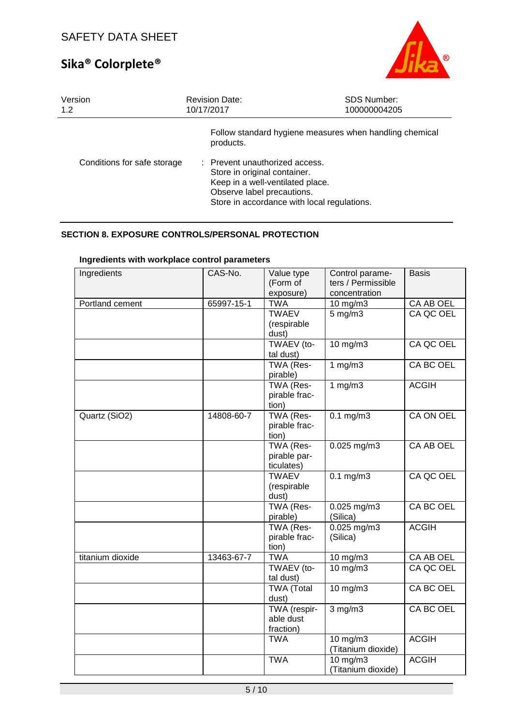

| Version                     | <b>Revision Date:</b>                                                                                                                                                                                                                                   | <b>SDS Number:</b> |
|-----------------------------|---------------------------------------------------------------------------------------------------------------------------------------------------------------------------------------------------------------------------------------------------------|--------------------|
| 1.2                         | 10/17/2017                                                                                                                                                                                                                                              | 100000004205       |
| Conditions for safe storage | Follow standard hygiene measures when handling chemical<br>products.<br>: Prevent unauthorized access.<br>Store in original container.<br>Keep in a well-ventilated place.<br>Observe label precautions.<br>Store in accordance with local regulations. |                    |

# **SECTION 8. EXPOSURE CONTROLS/PERSONAL PROTECTION**

| Ingredients      | CAS-No.    | Value type<br>(Form of<br>exposure) | Control parame-<br>ters / Permissible<br>concentration | <b>Basis</b>     |
|------------------|------------|-------------------------------------|--------------------------------------------------------|------------------|
| Portland cement  | 65997-15-1 | <b>TWA</b>                          | $10$ mg/m $3$                                          | CA AB OEL        |
|                  |            | <b>TWAEV</b>                        | $5$ mg/m $3$                                           | CA QC OEL        |
|                  |            | (respirable                         |                                                        |                  |
|                  |            | dust)                               |                                                        |                  |
|                  |            | TWAEV (to-                          | $10$ mg/m $3$                                          | CA QC OEL        |
|                  |            | tal dust)                           |                                                        |                  |
|                  |            | TWA (Res-                           | 1 $mg/m3$                                              | CA BC OEL        |
|                  |            | pirable)                            |                                                        |                  |
|                  |            | TWA (Res-                           | 1 $mg/m3$                                              | <b>ACGIH</b>     |
|                  |            | pirable frac-                       |                                                        |                  |
|                  |            | tion)                               | $0.1 \text{ mg/m}$                                     | <b>CA ON OEL</b> |
| Quartz (SiO2)    | 14808-60-7 | TWA (Res-<br>pirable frac-          |                                                        |                  |
|                  |            | tion)                               |                                                        |                  |
|                  |            | TWA (Res-                           | 0.025 mg/m3                                            | CA AB OEL        |
|                  |            | pirable par-                        |                                                        |                  |
|                  |            | ticulates)                          |                                                        |                  |
|                  |            | <b>TWAEV</b>                        | $0.1$ mg/m $3$                                         | CA QC OEL        |
|                  |            | (respirable                         |                                                        |                  |
|                  |            | dust)                               |                                                        |                  |
|                  |            | TWA (Res-                           | $0.025$ mg/m3                                          | <b>CA BC OEL</b> |
|                  |            | pirable)                            | (Silica)                                               |                  |
|                  |            | TWA (Res-                           | $0.025$ mg/m3                                          | <b>ACGIH</b>     |
|                  |            | pirable frac-                       | (Silica)                                               |                  |
|                  |            | tion)                               |                                                        |                  |
| titanium dioxide | 13463-67-7 | <b>TWA</b>                          | 10 mg/m3                                               | CA AB OEL        |
|                  |            | TWAEV (to-                          | 10 mg/m3                                               | CA QC OEL        |
|                  |            | tal dust)                           |                                                        |                  |
|                  |            | <b>TWA (Total</b><br>dust)          | $10$ mg/m $3$                                          | <b>CA BC OEL</b> |
|                  |            | TWA (respir-                        |                                                        | <b>CA BC OEL</b> |
|                  |            | able dust                           | $3$ mg/m $3$                                           |                  |
|                  |            | fraction)                           |                                                        |                  |
|                  |            | <b>TWA</b>                          | 10 mg/m3                                               | <b>ACGIH</b>     |
|                  |            |                                     | (Titanium dioxide)                                     |                  |
|                  |            | <b>TWA</b>                          | 10 mg/m3                                               | <b>ACGIH</b>     |
|                  |            |                                     | (Titanium dioxide)                                     |                  |

# **Ingredients with workplace control parameters**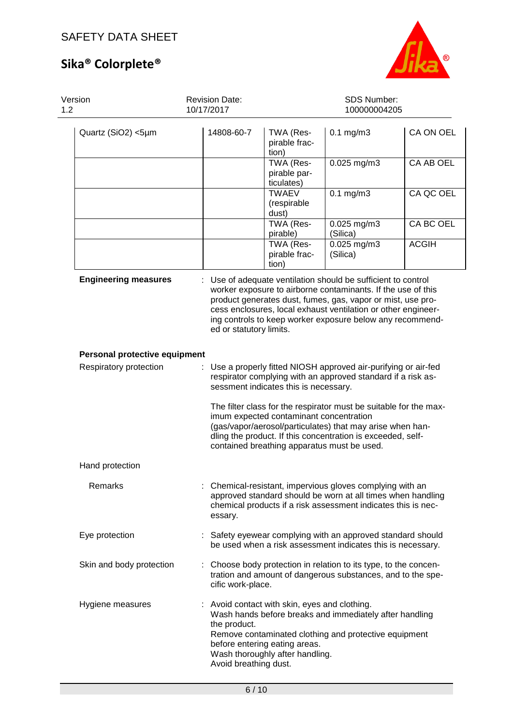

| Version<br>1.2                |  | <b>Revision Date:</b><br>10/17/2017   | SDS Number:<br>100000004205                                                                                       |                                                                                                                                                                                                                                                                                                                          |              |  |
|-------------------------------|--|---------------------------------------|-------------------------------------------------------------------------------------------------------------------|--------------------------------------------------------------------------------------------------------------------------------------------------------------------------------------------------------------------------------------------------------------------------------------------------------------------------|--------------|--|
| Quartz (SiO2) <5µm            |  | 14808-60-7                            | TWA (Res-<br>pirable frac-<br>tion)                                                                               | $0.1$ mg/m $3$                                                                                                                                                                                                                                                                                                           | CA ON OEL    |  |
|                               |  |                                       | TWA (Res-<br>pirable par-<br>ticulates)                                                                           | $0.025$ mg/m3                                                                                                                                                                                                                                                                                                            | CA AB OEL    |  |
|                               |  |                                       | <b>TWAEV</b><br>(respirable<br>dust)                                                                              | $0.1$ mg/m $3$                                                                                                                                                                                                                                                                                                           | CA QC OEL    |  |
|                               |  |                                       | TWA (Res-<br>pirable)                                                                                             | 0.025 mg/m3<br>(Silica)                                                                                                                                                                                                                                                                                                  | CA BC OEL    |  |
|                               |  |                                       | TWA (Res-<br>pirable frac-<br>tion)                                                                               | 0.025 mg/m3<br>(Silica)                                                                                                                                                                                                                                                                                                  | <b>ACGIH</b> |  |
| <b>Engineering measures</b>   |  | ed or statutory limits.               |                                                                                                                   | Use of adequate ventilation should be sufficient to control<br>worker exposure to airborne contaminants. If the use of this<br>product generates dust, fumes, gas, vapor or mist, use pro-<br>cess enclosures, local exhaust ventilation or other engineer-<br>ing controls to keep worker exposure below any recommend- |              |  |
| Personal protective equipment |  |                                       |                                                                                                                   |                                                                                                                                                                                                                                                                                                                          |              |  |
| Respiratory protection        |  |                                       | sessment indicates this is necessary.                                                                             | Use a properly fitted NIOSH approved air-purifying or air-fed<br>respirator complying with an approved standard if a risk as-                                                                                                                                                                                            |              |  |
|                               |  |                                       | imum expected contaminant concentration                                                                           | The filter class for the respirator must be suitable for the max-<br>(gas/vapor/aerosol/particulates) that may arise when han-<br>dling the product. If this concentration is exceeded, self-<br>contained breathing apparatus must be used.                                                                             |              |  |
| Hand protection               |  |                                       |                                                                                                                   |                                                                                                                                                                                                                                                                                                                          |              |  |
| Remarks                       |  | essary.                               |                                                                                                                   | : Chemical-resistant, impervious gloves complying with an<br>approved standard should be worn at all times when handling<br>chemical products if a risk assessment indicates this is nec-                                                                                                                                |              |  |
| Eye protection                |  |                                       |                                                                                                                   | : Safety eyewear complying with an approved standard should<br>be used when a risk assessment indicates this is necessary.                                                                                                                                                                                               |              |  |
| Skin and body protection      |  | cific work-place.                     |                                                                                                                   | : Choose body protection in relation to its type, to the concen-<br>tration and amount of dangerous substances, and to the spe-                                                                                                                                                                                          |              |  |
| Hygiene measures              |  | the product.<br>Avoid breathing dust. | : Avoid contact with skin, eyes and clothing.<br>before entering eating areas.<br>Wash thoroughly after handling. | Wash hands before breaks and immediately after handling<br>Remove contaminated clothing and protective equipment                                                                                                                                                                                                         |              |  |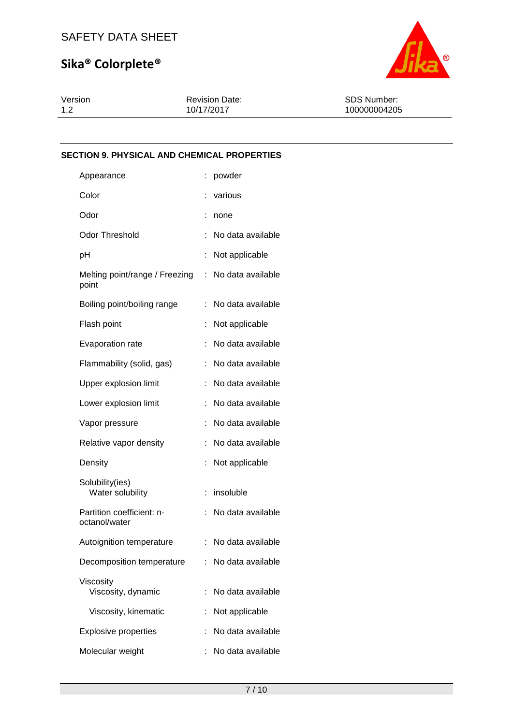

Version 1.2

Revision Date: 10/17/2017

SDS Number: 100000004205

# **SECTION 9. PHYSICAL AND CHEMICAL PROPERTIES**

| Appearance                                 |                      | powder              |
|--------------------------------------------|----------------------|---------------------|
| Color                                      |                      | various             |
| Odor                                       | $\ddot{\phantom{a}}$ | none                |
| <b>Odor Threshold</b>                      | t.                   | No data available   |
| pH                                         |                      | Not applicable      |
| Melting point/range / Freezing<br>point    |                      | : No data available |
| Boiling point/boiling range                | t.                   | No data available   |
| Flash point                                | t                    | Not applicable      |
| Evaporation rate                           | ÷                    | No data available   |
| Flammability (solid, gas)                  | t.                   | No data available   |
| Upper explosion limit                      | t.                   | No data available   |
| Lower explosion limit                      |                      | No data available   |
| Vapor pressure                             | ÷                    | No data available   |
| Relative vapor density                     | ÷                    | No data available   |
| Density                                    | t,                   | Not applicable      |
| Solubility(ies)<br>Water solubility        | İ,                   | insoluble           |
| Partition coefficient: n-<br>octanol/water |                      | No data available   |
| Autoignition temperature                   | t.                   | No data available   |
| Decomposition temperature                  |                      | : No data available |
| Viscosity<br>Viscosity, dynamic            | t.                   | No data available   |
| Viscosity, kinematic                       |                      | Not applicable      |
| <b>Explosive properties</b>                |                      | No data available   |
| Molecular weight                           |                      | No data available   |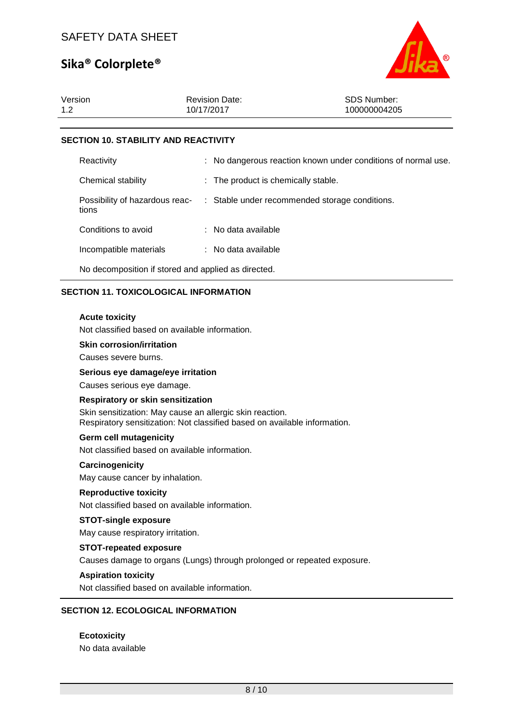

| Version<br>1.2                              | <b>Revision Date:</b><br>10/17/2017 | SDS Number:<br>100000004205                                   |  |  |  |
|---------------------------------------------|-------------------------------------|---------------------------------------------------------------|--|--|--|
|                                             |                                     |                                                               |  |  |  |
| <b>SECTION 10. STABILITY AND REACTIVITY</b> |                                     |                                                               |  |  |  |
| Reactivity                                  |                                     | : No dangerous reaction known under conditions of normal use. |  |  |  |

| Chemical stability                      | : The product is chemically stable.            |
|-----------------------------------------|------------------------------------------------|
| Possibility of hazardous reac-<br>tions | : Stable under recommended storage conditions. |
| Conditions to avoid                     | : No data available                            |
| Incompatible materials                  | : No data available                            |

No decomposition if stored and applied as directed.

### **SECTION 11. TOXICOLOGICAL INFORMATION**

### **Acute toxicity**

Not classified based on available information.

**Skin corrosion/irritation**

Causes severe burns.

**Serious eye damage/eye irritation**

Causes serious eye damage.

#### **Respiratory or skin sensitization**

Skin sensitization: May cause an allergic skin reaction. Respiratory sensitization: Not classified based on available information.

#### **Germ cell mutagenicity**

Not classified based on available information.

#### **Carcinogenicity**

May cause cancer by inhalation.

#### **Reproductive toxicity**

Not classified based on available information.

#### **STOT-single exposure**

May cause respiratory irritation.

#### **STOT-repeated exposure**

Causes damage to organs (Lungs) through prolonged or repeated exposure.

#### **Aspiration toxicity**

Not classified based on available information.

# **SECTION 12. ECOLOGICAL INFORMATION**

**Ecotoxicity** No data available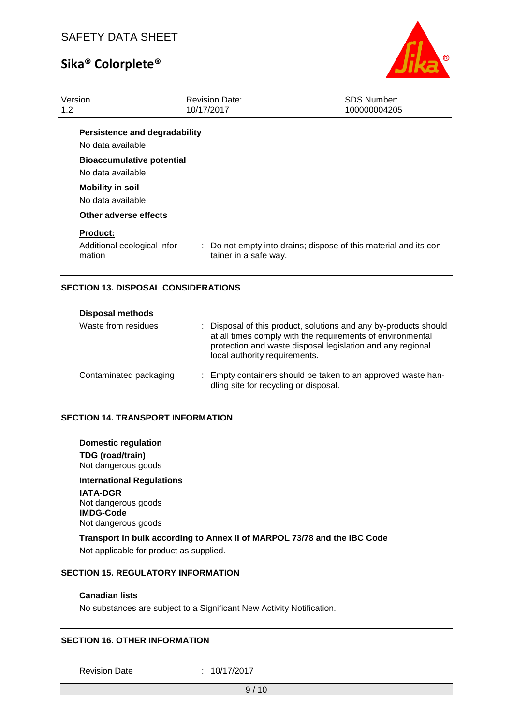

|                       | <b>SDS Number:</b><br>100000004205                                                                              |
|-----------------------|-----------------------------------------------------------------------------------------------------------------|
|                       |                                                                                                                 |
|                       |                                                                                                                 |
|                       |                                                                                                                 |
|                       |                                                                                                                 |
|                       |                                                                                                                 |
| tainer in a safe way. | : Do not empty into drains; dispose of this material and its con-                                               |
|                       | <b>Revision Date:</b><br>10/17/2017<br><b>Persistence and degradability</b><br><b>Bioaccumulative potential</b> |

### **SECTION 13. DISPOSAL CONSIDERATIONS**

| <b>Disposal methods</b> |                                                                                                                                                                                                                               |
|-------------------------|-------------------------------------------------------------------------------------------------------------------------------------------------------------------------------------------------------------------------------|
| Waste from residues     | : Disposal of this product, solutions and any by-products should<br>at all times comply with the requirements of environmental<br>protection and waste disposal legislation and any regional<br>local authority requirements. |
| Contaminated packaging  | : Empty containers should be taken to an approved waste han-<br>dling site for recycling or disposal.                                                                                                                         |

#### **SECTION 14. TRANSPORT INFORMATION**

**Domestic regulation TDG (road/train)** Not dangerous goods **International Regulations IATA-DGR** Not dangerous goods **IMDG-Code** Not dangerous goods

**Transport in bulk according to Annex II of MARPOL 73/78 and the IBC Code** Not applicable for product as supplied.

### **SECTION 15. REGULATORY INFORMATION**

### **Canadian lists**

No substances are subject to a Significant New Activity Notification.

#### **SECTION 16. OTHER INFORMATION**

Revision Date : 10/17/2017